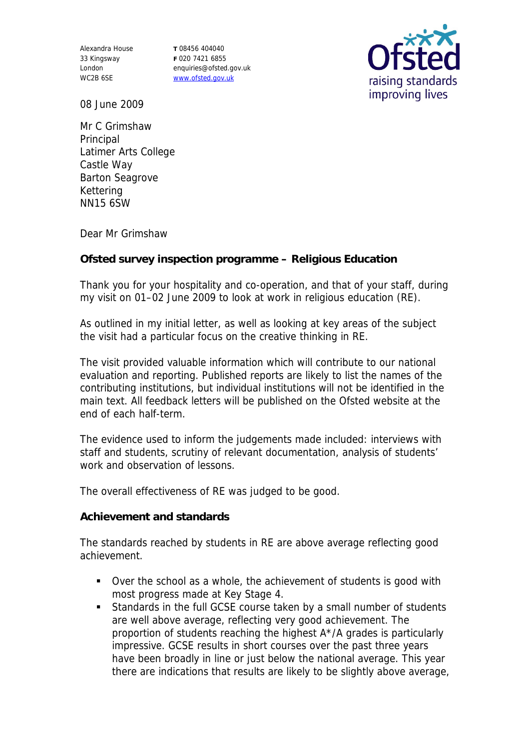Alexandra House 33 Kingsway London WC2B 6SE

**T** 08456 404040 **F** 020 7421 6855 enquiries@ofsted.gov.uk www.ofsted.gov.uk



08 June 2009

Mr C Grimshaw Principal Latimer Arts College Castle Way Barton Seagrove Kettering NN15 6SW

Dear Mr Grimshaw

**Ofsted survey inspection programme – Religious Education** 

Thank you for your hospitality and co-operation, and that of your staff, during my visit on 01–02 June 2009 to look at work in religious education (RE).

As outlined in my initial letter, as well as looking at key areas of the subject the visit had a particular focus on the creative thinking in RE.

The visit provided valuable information which will contribute to our national evaluation and reporting. Published reports are likely to list the names of the contributing institutions, but individual institutions will not be identified in the main text. All feedback letters will be published on the Ofsted website at the end of each half-term.

The evidence used to inform the judgements made included: interviews with staff and students, scrutiny of relevant documentation, analysis of students' work and observation of lessons.

The overall effectiveness of RE was judged to be good.

**Achievement and standards** 

The standards reached by students in RE are above average reflecting good achievement.

- Over the school as a whole, the achievement of students is good with most progress made at Key Stage 4.
- Standards in the full GCSE course taken by a small number of students are well above average, reflecting very good achievement. The proportion of students reaching the highest A\*/A grades is particularly impressive. GCSE results in short courses over the past three years have been broadly in line or just below the national average. This year there are indications that results are likely to be slightly above average,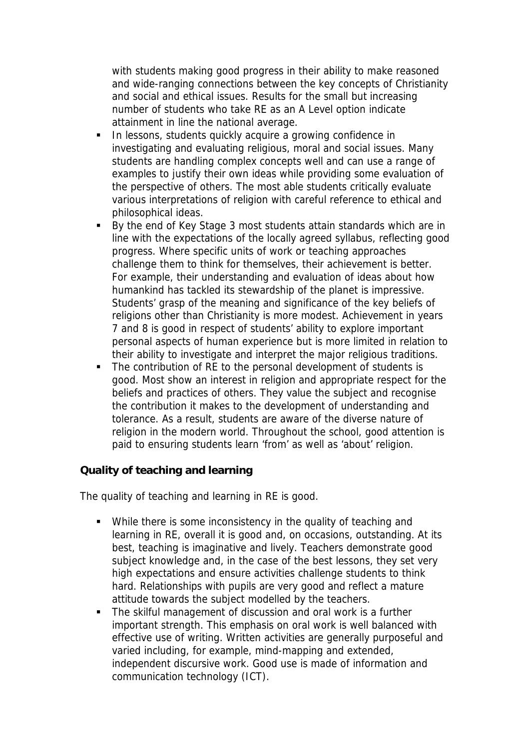with students making good progress in their ability to make reasoned and wide-ranging connections between the key concepts of Christianity and social and ethical issues. Results for the small but increasing number of students who take RE as an A Level option indicate attainment in line the national average.

- **In lessons, students quickly acquire a growing confidence in** investigating and evaluating religious, moral and social issues. Many students are handling complex concepts well and can use a range of examples to justify their own ideas while providing some evaluation of the perspective of others. The most able students critically evaluate various interpretations of religion with careful reference to ethical and philosophical ideas.
- By the end of Key Stage 3 most students attain standards which are in line with the expectations of the locally agreed syllabus, reflecting good progress. Where specific units of work or teaching approaches challenge them to think for themselves, their achievement is better. For example, their understanding and evaluation of ideas about how humankind has tackled its stewardship of the planet is impressive. Students' grasp of the meaning and significance of the key beliefs of religions other than Christianity is more modest. Achievement in years 7 and 8 is good in respect of students' ability to explore important personal aspects of human experience but is more limited in relation to their ability to investigate and interpret the major religious traditions.
- The contribution of RE to the personal development of students is good. Most show an interest in religion and appropriate respect for the beliefs and practices of others. They value the subject and recognise the contribution it makes to the development of understanding and tolerance. As a result, students are aware of the diverse nature of religion in the modern world. Throughout the school, good attention is paid to ensuring students learn 'from' as well as 'about' religion.

**Quality of teaching and learning** 

The quality of teaching and learning in RE is good.

- While there is some inconsistency in the quality of teaching and learning in RE, overall it is good and, on occasions, outstanding. At its best, teaching is imaginative and lively. Teachers demonstrate good subject knowledge and, in the case of the best lessons, they set very high expectations and ensure activities challenge students to think hard. Relationships with pupils are very good and reflect a mature attitude towards the subject modelled by the teachers.
- The skilful management of discussion and oral work is a further important strength. This emphasis on oral work is well balanced with effective use of writing. Written activities are generally purposeful and varied including, for example, mind-mapping and extended, independent discursive work. Good use is made of information and communication technology (ICT).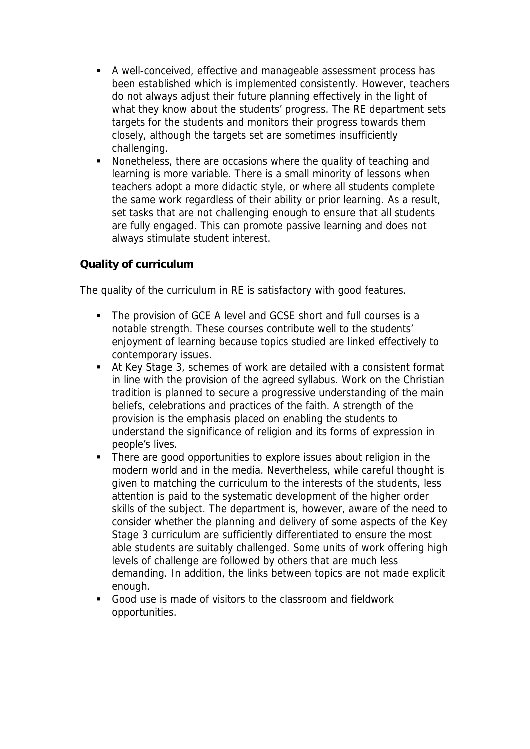- A well-conceived, effective and manageable assessment process has been established which is implemented consistently. However, teachers do not always adjust their future planning effectively in the light of what they know about the students' progress. The RE department sets targets for the students and monitors their progress towards them closely, although the targets set are sometimes insufficiently challenging.
- Nonetheless, there are occasions where the quality of teaching and learning is more variable. There is a small minority of lessons when teachers adopt a more didactic style, or where all students complete the same work regardless of their ability or prior learning. As a result, set tasks that are not challenging enough to ensure that all students are fully engaged. This can promote passive learning and does not always stimulate student interest.

## **Quality of curriculum**

The quality of the curriculum in RE is satisfactory with good features.

- The provision of GCE A level and GCSE short and full courses is a notable strength. These courses contribute well to the students' enjoyment of learning because topics studied are linked effectively to contemporary issues.
- At Key Stage 3, schemes of work are detailed with a consistent format in line with the provision of the agreed syllabus. Work on the Christian tradition is planned to secure a progressive understanding of the main beliefs, celebrations and practices of the faith. A strength of the provision is the emphasis placed on enabling the students to understand the significance of religion and its forms of expression in people's lives.
- There are good opportunities to explore issues about religion in the modern world and in the media. Nevertheless, while careful thought is given to matching the curriculum to the interests of the students, less attention is paid to the systematic development of the higher order skills of the subject. The department is, however, aware of the need to consider whether the planning and delivery of some aspects of the Key Stage 3 curriculum are sufficiently differentiated to ensure the most able students are suitably challenged. Some units of work offering high levels of challenge are followed by others that are much less demanding. In addition, the links between topics are not made explicit enough.
- Good use is made of visitors to the classroom and fieldwork opportunities.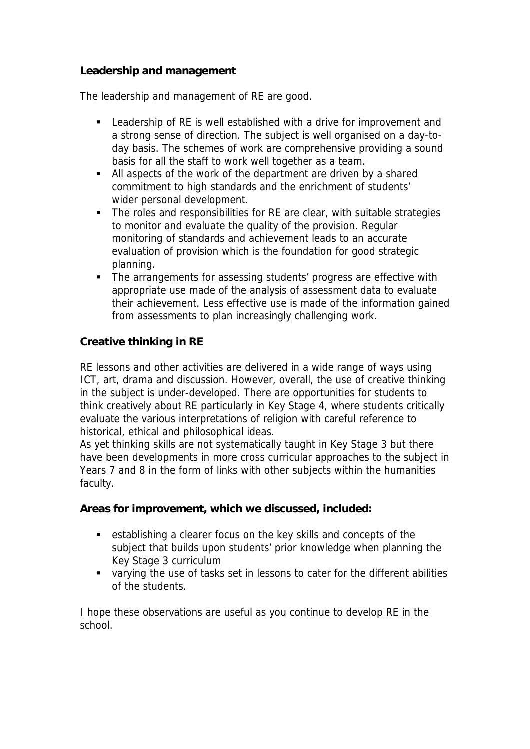## **Leadership and management**

The leadership and management of RE are good.

- Leadership of RE is well established with a drive for improvement and a strong sense of direction. The subject is well organised on a day-today basis. The schemes of work are comprehensive providing a sound basis for all the staff to work well together as a team.
- All aspects of the work of the department are driven by a shared commitment to high standards and the enrichment of students' wider personal development.
- The roles and responsibilities for RE are clear, with suitable strategies to monitor and evaluate the quality of the provision. Regular monitoring of standards and achievement leads to an accurate evaluation of provision which is the foundation for good strategic planning.
- The arrangements for assessing students' progress are effective with appropriate use made of the analysis of assessment data to evaluate their achievement. Less effective use is made of the information gained from assessments to plan increasingly challenging work.

## **Creative thinking in RE**

RE lessons and other activities are delivered in a wide range of ways using ICT, art, drama and discussion. However, overall, the use of creative thinking in the subject is under-developed. There are opportunities for students to think creatively about RE particularly in Key Stage 4, where students critically evaluate the various interpretations of religion with careful reference to historical, ethical and philosophical ideas.

As yet thinking skills are not systematically taught in Key Stage 3 but there have been developments in more cross curricular approaches to the subject in Years 7 and 8 in the form of links with other subjects within the humanities faculty.

**Areas for improvement, which we discussed, included:**

- establishing a clearer focus on the key skills and concepts of the subject that builds upon students' prior knowledge when planning the Key Stage 3 curriculum
- varying the use of tasks set in lessons to cater for the different abilities of the students.

I hope these observations are useful as you continue to develop RE in the school.